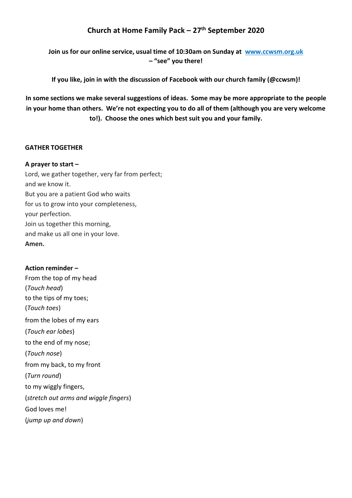# **Church at Home Family Pack – 27th September 2020**

**Join us for our online service, usual time of 10:30am on Sunday at [www.ccwsm.org.uk](http://www.ccwsm.org.uk/) – "see" you there!**

**If you like, join in with the discussion of Facebook with our church family (@ccwsm)!**

**In some sections we make several suggestions of ideas. Some may be more appropriate to the people in your home than others. We're not expecting you to do all of them (although you are very welcome to!). Choose the ones which best suit you and your family.**

# **GATHER TOGETHER**

# **A prayer to start –**

Lord, we gather together, very far from perfect; and we know it. But you are a patient God who waits for us to grow into your completeness, your perfection. Join us together this morning, and make us all one in your love. **Amen.**

# **Action reminder –**

From the top of my head (*Touch head*) to the tips of my toes; (*Touch toes*) from the lobes of my ears (*Touch ear lobes*) to the end of my nose; (*Touch nose*) from my back, to my front (*Turn round*) to my wiggly fingers, (*stretch out arms and wiggle fingers*) God loves me! (*jump up and down*)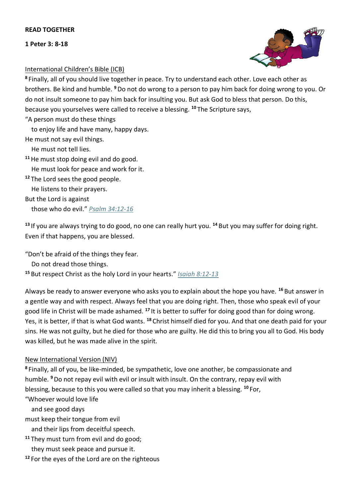#### **READ TOGETHER**

**1 Peter 3: 8-18**



# International Children's Bible (ICB)

**<sup>8</sup>** Finally, all of you should live together in peace. Try to understand each other. Love each other as brothers. Be kind and humble. **<sup>9</sup>**Do not do wrong to a person to pay him back for doing wrong to you. Or do not insult someone to pay him back for insulting you. But ask God to bless that person. Do this, because you yourselves were called to receive a blessing. **<sup>10</sup>** The Scripture says,

"A person must do these things

to enjoy life and have many, happy days.

He must not say evil things.

He must not tell lies.

**<sup>11</sup>**He must stop doing evil and do good.

He must look for peace and work for it.

**<sup>12</sup>** The Lord sees the good people.

He listens to their prayers.

But the Lord is against

those who do evil." *[Psalm 34:12-16](https://www.biblegateway.com/passage/?search=Ps.34.12-Ps.34.16&version=ICB)*

**<sup>13</sup>** If you are always trying to do good, no one can really hurt you. **<sup>14</sup>** But you may suffer for doing right. Even if that happens, you are blessed.

"Don't be afraid of the things they fear.

Do not dread those things.

**<sup>15</sup>** But respect Christ as the holy Lord in your hearts." *[Isaiah 8:12-13](https://www.biblegateway.com/passage/?search=Isa.8.12-Isa.8.13&version=ICB)*

Always be ready to answer everyone who asks you to explain about the hope you have. **<sup>16</sup>** But answer in a gentle way and with respect. Always feel that you are doing right. Then, those who speak evil of your good life in Christ will be made ashamed. **<sup>17</sup>** It is better to suffer for doing good than for doing wrong. Yes, it is better, if that is what God wants. **<sup>18</sup>** Christ himself died for you. And that one death paid for your sins. He was not guilty, but he died for those who are guilty. He did this to bring you all to God. His body was killed, but he was made alive in the spirit.

#### New International Version (NIV)

**<sup>8</sup>** Finally, all of you, be like-minded, be sympathetic, love one another, be compassionate and humble. **<sup>9</sup>**Do not repay evil with evil or insult with insult. On the contrary, repay evil with blessing, because to this you were called so that you may inherit a blessing. **<sup>10</sup>** For,

"Whoever would love life

and see good days

must keep their tongue from evil

and their lips from deceitful speech.

**<sup>11</sup>** They must turn from evil and do good;

they must seek peace and pursue it.

**<sup>12</sup>** For the eyes of the Lord are on the righteous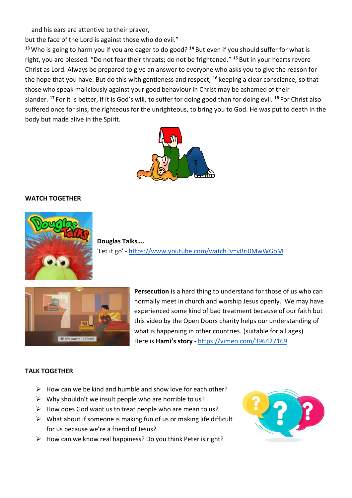and his ears are attentive to their prayer,

but the face of the Lord is against those who do evil."

**<sup>13</sup>**Who is going to harm you if you are eager to do good? **<sup>14</sup>** But even if you should suffer for what is right, you are blessed. "Do not fear their threats; do not be frightened." **<sup>15</sup>** But in your hearts revere Christ as Lord. Always be prepared to give an answer to everyone who asks you to give the reason for the hope that you have. But do this with gentleness and respect, **<sup>16</sup>** keeping a clear conscience, so that those who speak maliciously against your good behaviour in Christ may be ashamed of their slander. **<sup>17</sup>** For it is better, if it is God's will, to suffer for doing good than for doing evil. **<sup>18</sup>** For Christ also suffered once for sins, the righteous for the unrighteous, to bring you to God. He was put to death in the body but made alive in the Spirit.



#### **WATCH TOGETHER**



**Douglas Talks….** 'Let it go' - <https://www.youtube.com/watch?v=vBri0MwWGoM>



**Persecution** is a hard thing to understand for those of us who can normally meet in church and worship Jesus openly. We may have experienced some kind of bad treatment because of our faith but this video by the Open Doors charity helps our understanding of what is happening in other countries. (suitable for all ages) Here is **Hami's story** - <https://vimeo.com/396427169>

#### **TALK TOGETHER**

- $\triangleright$  How can we be kind and humble and show love for each other?
- $\triangleright$  Why shouldn't we insult people who are horrible to us?
- $\triangleright$  How does God want us to treat people who are mean to us?
- $\triangleright$  What about if someone is making fun of us or making life difficult for us because we're a friend of Jesus?
- $\triangleright$  How can we know real happiness? Do you think Peter is right?

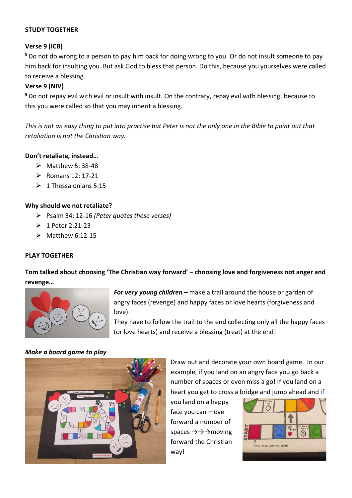# **STUDY TOGETHER**

# **Verse 9 (ICB)**

**<sup>9</sup>**Do not do wrong to a person to pay him back for doing wrong to you. Or do not insult someone to pay him back for insulting you. But ask God to bless that person. Do this, because you yourselves were called to receive a blessing.

# **Verse 9 (NIV)**

**<sup>9</sup>**Do not repay evil with evil or insult with insult. On the contrary, repay evil with blessing, because to this you were called so that you may inherit a blessing.

*This is not an easy thing to put into practise but Peter is not the only one in the Bible to point out that retaliation is not the Christian way.*

# **Don't retaliate, instead…**

- $\triangleright$  Matthew 5: 38-48
- ➢ Romans 12: 17-21
- $\geq 1$  Thessalonians 5:15

#### **Why should we not retaliate?**

- ➢ Psalm 34: 12-16 *(Peter quotes these verses)*
- ➢ 1 Peter 2:21-23
- $\triangleright$  Matthew 6:12-15

#### **PLAY TOGETHER**

**Tom talked about choosing 'The Christian way forward' – choosing love and forgiveness not anger and revenge…**



*For very young children* **–** make a trail around the house or garden of angry faces (revenge) and happy faces or love hearts (forgiveness and love).

They have to follow the trail to the end collecting only all the happy faces (or love hearts) and receive a blessing (treat) at the end!

### *Make a board game to play*



Draw out and decorate your own board game. In our example, if you land on an angry face you go back a number of spaces or even miss a go! If you land on a heart you get to cross a bridge and jump ahead and if

you land on a happy face you can move forward a number of spaces  $\rightarrow$   $\rightarrow$   $\rightarrow$  moving forward the Christian way!

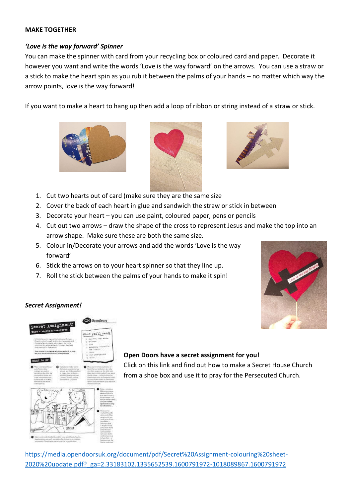#### **MAKE TOGETHER**

# *'Love is the way forward' Spinner*

You can make the spinner with card from your recycling box or coloured card and paper. Decorate it however you want and write the words 'Love is the way forward' on the arrows. You can use a straw or a stick to make the heart spin as you rub it between the palms of your hands – no matter which way the arrow points, love is the way forward!

If you want to make a heart to hang up then add a loop of ribbon or string instead of a straw or stick.







- 1. Cut two hearts out of card (make sure they are the same size
- 2. Cover the back of each heart in glue and sandwich the straw or stick in between
- 3. Decorate your heart you can use paint, coloured paper, pens or pencils
- 4. Cut out two arrows draw the shape of the cross to represent Jesus and make the top into an arrow shape. Make sure these are both the same size.
- 5. Colour in/Decorate your arrows and add the words 'Love is the way forward'
- 6. Stick the arrows on to your heart spinner so that they line up.
- 7. Roll the stick between the palms of your hands to make it spin!



# *Secret Assignment!*



#### **Open Doors have a secret assignment for you!**

Click on this link and find out how to make a Secret House Church from a shoe box and use it to pray for the Persecuted Church.

[https://media.opendoorsuk.org/document/pdf/Secret%20Assignment-colouring%20sheet-](https://media.opendoorsuk.org/document/pdf/Secret%20Assignment-colouring%20sheet-2020%20update.pdf?_ga=2.33183102.1335652539.1600791972-1018089867.1600791972)[2020%20update.pdf?\\_ga=2.33183102.1335652539.1600791972-1018089867.1600791972](https://media.opendoorsuk.org/document/pdf/Secret%20Assignment-colouring%20sheet-2020%20update.pdf?_ga=2.33183102.1335652539.1600791972-1018089867.1600791972)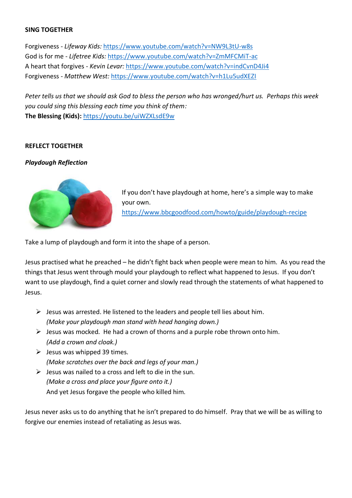#### **SING TOGETHER**

Forgiveness - *Lifeway Kids:* <https://www.youtube.com/watch?v=NW9L3tU-w8s> God is for me - *Lifetree Kids:* <https://www.youtube.com/watch?v=ZmMFCMiT-ac> A heart that forgives - *Kevin Levar:* <https://www.youtube.com/watch?v=indCvnD4Ji4> Forgiveness - *Matthew West:* <https://www.youtube.com/watch?v=h1Lu5udXEZI>

*Peter tells us that we should ask God to bless the person who has wronged/hurt us. Perhaps this week you could sing this blessing each time you think of them:*  **The Blessing (Kids):** <https://youtu.be/uiWZXLsdE9w>

#### **REFLECT TOGETHER**

#### *Playdough Reflection*



If you don't have playdough at home, here's a simple way to make your own. <https://www.bbcgoodfood.com/howto/guide/playdough-recipe>

Take a lump of playdough and form it into the shape of a person.

Jesus practised what he preached – he didn't fight back when people were mean to him. As you read the things that Jesus went through mould your playdough to reflect what happened to Jesus. If you don't want to use playdough, find a quiet corner and slowly read through the statements of what happened to Jesus.

- $\triangleright$  Jesus was arrested. He listened to the leaders and people tell lies about him. *(Make your playdough man stand with head hanging down.)*
- $\triangleright$  Jesus was mocked. He had a crown of thorns and a purple robe thrown onto him. *(Add a crown and cloak.)*
- $\triangleright$  Jesus was whipped 39 times. *(Make scratches over the back and legs of your man.)*
- $\triangleright$  Jesus was nailed to a cross and left to die in the sun. *(Make a cross and place your figure onto it.)* And yet Jesus forgave the people who killed him.

Jesus never asks us to do anything that he isn't prepared to do himself. Pray that we will be as willing to forgive our enemies instead of retaliating as Jesus was.